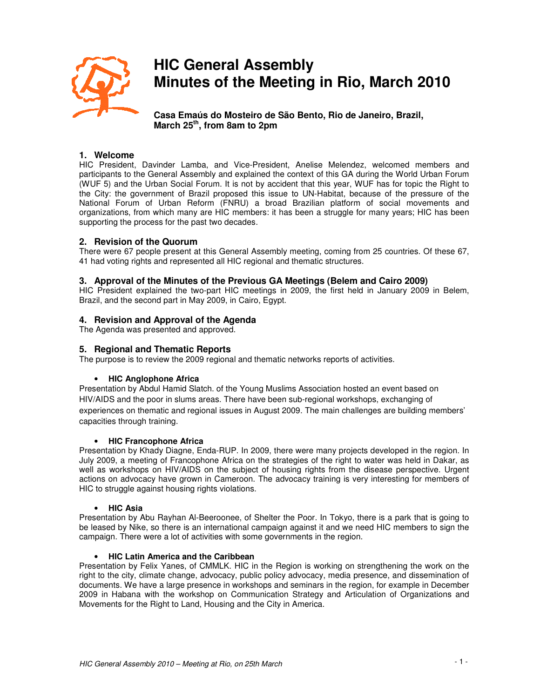

# **HIC General Assembly Minutes of the Meeting in Rio, March 2010**

**Casa Emaús do Mosteiro de São Bento, Rio de Janeiro, Brazil, March 25th, from 8am to 2pm** 

# **1. Welcome**

HIC President, Davinder Lamba, and Vice-President, Anelise Melendez, welcomed members and participants to the General Assembly and explained the context of this GA during the World Urban Forum (WUF 5) and the Urban Social Forum. It is not by accident that this year, WUF has for topic the Right to the City: the government of Brazil proposed this issue to UN-Habitat, because of the pressure of the National Forum of Urban Reform (FNRU) a broad Brazilian platform of social movements and organizations, from which many are HIC members: it has been a struggle for many years; HIC has been supporting the process for the past two decades.

## **2. Revision of the Quorum**

There were 67 people present at this General Assembly meeting, coming from 25 countries. Of these 67, 41 had voting rights and represented all HIC regional and thematic structures.

## **3. Approval of the Minutes of the Previous GA Meetings (Belem and Cairo 2009)**

HIC President explained the two-part HIC meetings in 2009, the first held in January 2009 in Belem, Brazil, and the second part in May 2009, in Cairo, Egypt.

# **4. Revision and Approval of the Agenda**

The Agenda was presented and approved.

## **5. Regional and Thematic Reports**

The purpose is to review the 2009 regional and thematic networks reports of activities.

## • **HIC Anglophone Africa**

Presentation by Abdul Hamid Slatch. of the Young Muslims Association hosted an event based on HIV/AIDS and the poor in slums areas. There have been sub-regional workshops, exchanging of experiences on thematic and regional issues in August 2009. The main challenges are building members' capacities through training.

## • **HIC Francophone Africa**

Presentation by Khady Diagne, Enda-RUP. In 2009, there were many projects developed in the region. In July 2009, a meeting of Francophone Africa on the strategies of the right to water was held in Dakar, as well as workshops on HIV/AIDS on the subject of housing rights from the disease perspective. Urgent actions on advocacy have grown in Cameroon. The advocacy training is very interesting for members of HIC to struggle against housing rights violations.

#### • **HIC Asia**

Presentation by Abu Rayhan Al-Beeroonee, of Shelter the Poor. In Tokyo, there is a park that is going to be leased by Nike, so there is an international campaign against it and we need HIC members to sign the campaign. There were a lot of activities with some governments in the region.

## • **HIC Latin America and the Caribbean**

Presentation by Felix Yanes, of CMMLK. HIC in the Region is working on strengthening the work on the right to the city, climate change, advocacy, public policy advocacy, media presence, and dissemination of documents. We have a large presence in workshops and seminars in the region, for example in December 2009 in Habana with the workshop on Communication Strategy and Articulation of Organizations and Movements for the Right to Land, Housing and the City in America.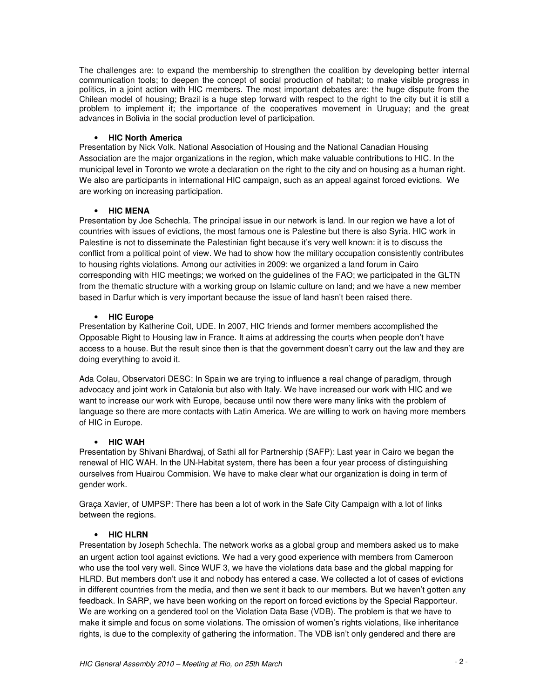The challenges are: to expand the membership to strengthen the coalition by developing better internal communication tools; to deepen the concept of social production of habitat; to make visible progress in politics, in a joint action with HIC members. The most important debates are: the huge dispute from the Chilean model of housing; Brazil is a huge step forward with respect to the right to the city but it is still a problem to implement it; the importance of the cooperatives movement in Uruguay; and the great advances in Bolivia in the social production level of participation.

#### • **HIC North America**

Presentation by Nick Volk. National Association of Housing and the National Canadian Housing Association are the major organizations in the region, which make valuable contributions to HIC. In the municipal level in Toronto we wrote a declaration on the right to the city and on housing as a human right. We also are participants in international HIC campaign, such as an appeal against forced evictions. We are working on increasing participation.

## • **HIC MENA**

Presentation by Joe Schechla. The principal issue in our network is land. In our region we have a lot of countries with issues of evictions, the most famous one is Palestine but there is also Syria. HIC work in Palestine is not to disseminate the Palestinian fight because it's very well known: it is to discuss the conflict from a political point of view. We had to show how the military occupation consistently contributes to housing rights violations. Among our activities in 2009: we organized a land forum in Cairo corresponding with HIC meetings; we worked on the guidelines of the FAO; we participated in the GLTN from the thematic structure with a working group on Islamic culture on land; and we have a new member based in Darfur which is very important because the issue of land hasn't been raised there.

## • **HIC Europe**

Presentation by Katherine Coit, UDE. In 2007, HIC friends and former members accomplished the Opposable Right to Housing law in France. It aims at addressing the courts when people don't have access to a house. But the result since then is that the government doesn't carry out the law and they are doing everything to avoid it.

Ada Colau, Observatori DESC: In Spain we are trying to influence a real change of paradigm, through advocacy and joint work in Catalonia but also with Italy. We have increased our work with HIC and we want to increase our work with Europe, because until now there were many links with the problem of language so there are more contacts with Latin America. We are willing to work on having more members of HIC in Europe.

## • **HIC WAH**

Presentation by Shivani Bhardwaj, of Sathi all for Partnership (SAFP): Last year in Cairo we began the renewal of HIC WAH. In the UN-Habitat system, there has been a four year process of distinguishing ourselves from Huairou Commision. We have to make clear what our organization is doing in term of gender work.

Graça Xavier, of UMPSP: There has been a lot of work in the Safe City Campaign with a lot of links between the regions.

## • **HIC HLRN**

Presentation by Joseph Schechla. The network works as a global group and members asked us to make an urgent action tool against evictions. We had a very good experience with members from Cameroon who use the tool very well. Since WUF 3, we have the violations data base and the global mapping for HLRD. But members don't use it and nobody has entered a case. We collected a lot of cases of evictions in different countries from the media, and then we sent it back to our members. But we haven't gotten any feedback. In SARP, we have been working on the report on forced evictions by the Special Rapporteur. We are working on a gendered tool on the Violation Data Base (VDB). The problem is that we have to make it simple and focus on some violations. The omission of women's rights violations, like inheritance rights, is due to the complexity of gathering the information. The VDB isn't only gendered and there are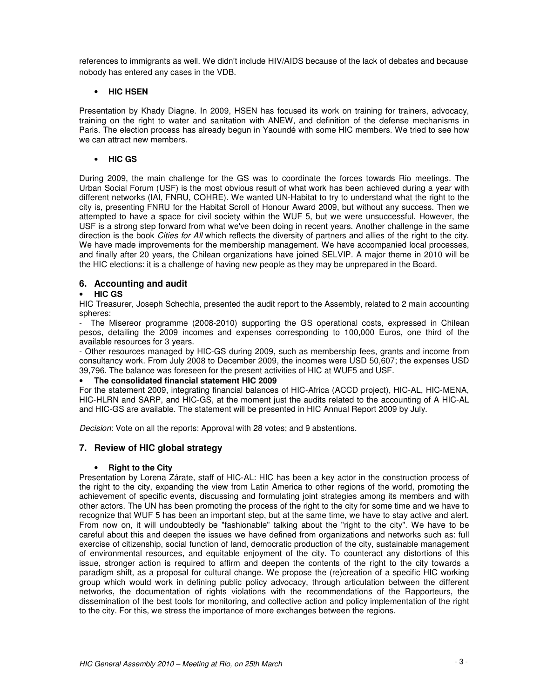references to immigrants as well. We didn't include HIV/AIDS because of the lack of debates and because nobody has entered any cases in the VDB.

## • **HIC HSEN**

Presentation by Khady Diagne. In 2009, HSEN has focused its work on training for trainers, advocacy, training on the right to water and sanitation with ANEW, and definition of the defense mechanisms in Paris. The election process has already begun in Yaoundé with some HIC members. We tried to see how we can attract new members.

## • **HIC GS**

During 2009, the main challenge for the GS was to coordinate the forces towards Rio meetings. The Urban Social Forum (USF) is the most obvious result of what work has been achieved during a year with different networks (IAI, FNRU, COHRE). We wanted UN-Habitat to try to understand what the right to the city is, presenting FNRU for the Habitat Scroll of Honour Award 2009, but without any success. Then we attempted to have a space for civil society within the WUF 5, but we were unsuccessful. However, the USF is a strong step forward from what we've been doing in recent years. Another challenge in the same direction is the book Cities for All which reflects the diversity of partners and allies of the right to the city. We have made improvements for the membership management. We have accompanied local processes, and finally after 20 years, the Chilean organizations have joined SELVIP. A major theme in 2010 will be the HIC elections: it is a challenge of having new people as they may be unprepared in the Board.

# **6. Accounting and audit**

# • **HIC GS**

HIC Treasurer, Joseph Schechla, presented the audit report to the Assembly, related to 2 main accounting spheres:

- The Misereor programme (2008-2010) supporting the GS operational costs, expressed in Chilean pesos, detailing the 2009 incomes and expenses corresponding to 100,000 Euros, one third of the available resources for 3 years.

- Other resources managed by HIC-GS during 2009, such as membership fees, grants and income from consultancy work. From July 2008 to December 2009, the incomes were USD 50,607; the expenses USD 39,796. The balance was foreseen for the present activities of HIC at WUF5 and USF.

## • **The consolidated financial statement HIC 2009**

For the statement 2009, integrating financial balances of HIC-Africa (ACCD project), HIC-AL, HIC-MENA, HIC-HLRN and SARP, and HIC-GS, at the moment just the audits related to the accounting of A HIC-AL and HIC-GS are available. The statement will be presented in HIC Annual Report 2009 by July.

Decision: Vote on all the reports: Approval with 28 votes; and 9 abstentions.

# **7. Review of HIC global strategy**

## • **Right to the City**

Presentation by Lorena Zárate, staff of HIC-AL: HIC has been a key actor in the construction process of the right to the city, expanding the view from Latin America to other regions of the world, promoting the achievement of specific events, discussing and formulating joint strategies among its members and with other actors. The UN has been promoting the process of the right to the city for some time and we have to recognize that WUF 5 has been an important step, but at the same time, we have to stay active and alert. From now on, it will undoubtedly be "fashionable" talking about the "right to the city". We have to be careful about this and deepen the issues we have defined from organizations and networks such as: full exercise of citizenship, social function of land, democratic production of the city, sustainable management of environmental resources, and equitable enjoyment of the city. To counteract any distortions of this issue, stronger action is required to affirm and deepen the contents of the right to the city towards a paradigm shift, as a proposal for cultural change. We propose the (re)creation of a specific HIC working group which would work in defining public policy advocacy, through articulation between the different networks, the documentation of rights violations with the recommendations of the Rapporteurs, the dissemination of the best tools for monitoring, and collective action and policy implementation of the right to the city. For this, we stress the importance of more exchanges between the regions.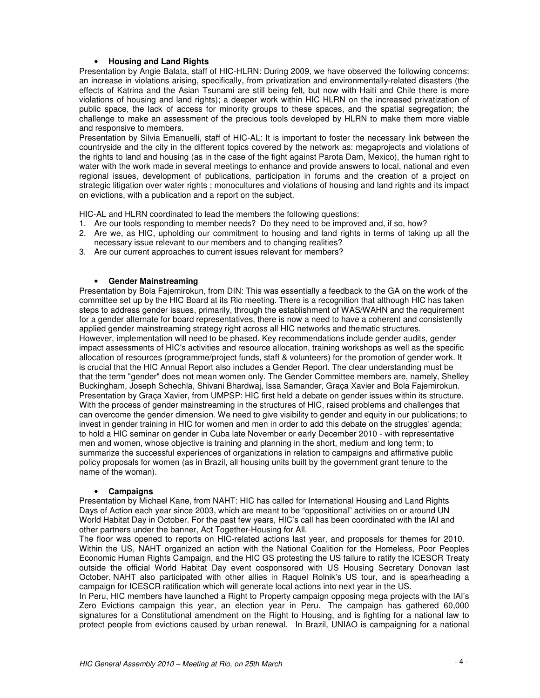#### • **Housing and Land Rights**

Presentation by Angie Balata, staff of HIC-HLRN: During 2009, we have observed the following concerns: an increase in violations arising, specifically, from privatization and environmentally-related disasters (the effects of Katrina and the Asian Tsunami are still being felt, but now with Haiti and Chile there is more violations of housing and land rights); a deeper work within HIC HLRN on the increased privatization of public space, the lack of access for minority groups to these spaces, and the spatial segregation; the challenge to make an assessment of the precious tools developed by HLRN to make them more viable and responsive to members.

Presentation by Silvia Emanuelli, staff of HIC-AL: It is important to foster the necessary link between the countryside and the city in the different topics covered by the network as: megaprojects and violations of the rights to land and housing (as in the case of the fight against Parota Dam, Mexico), the human right to water with the work made in several meetings to enhance and provide answers to local, national and even regional issues, development of publications, participation in forums and the creation of a project on strategic litigation over water rights ; monocultures and violations of housing and land rights and its impact on evictions, with a publication and a report on the subject.

HIC-AL and HLRN coordinated to lead the members the following questions:

- 1. Are our tools responding to member needs? Do they need to be improved and, if so, how?
- 2. Are we, as HIC, upholding our commitment to housing and land rights in terms of taking up all the necessary issue relevant to our members and to changing realities?
- 3. Are our current approaches to current issues relevant for members?

#### • **Gender Mainstreaming**

Presentation by Bola Fajemirokun, from DIN: This was essentially a feedback to the GA on the work of the committee set up by the HIC Board at its Rio meeting. There is a recognition that although HIC has taken steps to address gender issues, primarily, through the establishment of WAS/WAHN and the requirement for a gender alternate for board representatives, there is now a need to have a coherent and consistently applied gender mainstreaming strategy right across all HIC networks and thematic structures. However, implementation will need to be phased. Key recommendations include gender audits, gender impact assessments of HIC's activities and resource allocation, training workshops as well as the specific allocation of resources (programme/project funds, staff & volunteers) for the promotion of gender work. It is crucial that the HIC Annual Report also includes a Gender Report. The clear understanding must be that the term "gender" does not mean women only. The Gender Committee members are, namely, Shelley Buckingham, Joseph Schechla, Shivani Bhardwaj, Issa Samander, Graça Xavier and Bola Fajemirokun. Presentation by Graça Xavier, from UMPSP: HIC first held a debate on gender issues within its structure. With the process of gender mainstreaming in the structures of HIC, raised problems and challenges that can overcome the gender dimension. We need to give visibility to gender and equity in our publications; to invest in gender training in HIC for women and men in order to add this debate on the struggles' agenda; to hold a HIC seminar on gender in Cuba late November or early December 2010 - with representative men and women, whose objective is training and planning in the short, medium and long term; to summarize the successful experiences of organizations in relation to campaigns and affirmative public policy proposals for women (as in Brazil, all housing units built by the government grant tenure to the name of the woman).

#### • **Campaigns**

Presentation by Michael Kane, from NAHT: HIC has called for International Housing and Land Rights Days of Action each year since 2003, which are meant to be "oppositional" activities on or around UN World Habitat Day in October. For the past few years, HIC's call has been coordinated with the IAI and other partners under the banner, Act Together-Housing for All.

The floor was opened to reports on HIC-related actions last year, and proposals for themes for 2010. Within the US, NAHT organized an action with the National Coalition for the Homeless, Poor Peoples Economic Human Rights Campaign, and the HIC GS protesting the US failure to ratify the ICESCR Treaty outside the official World Habitat Day event cosponsored with US Housing Secretary Donovan last October. NAHT also participated with other allies in Raquel Rolnik's US tour, and is spearheading a campaign for ICESCR ratification which will generate local actions into next year in the US.

In Peru, HIC members have launched a Right to Property campaign opposing mega projects with the IAI's Zero Evictions campaign this year, an election year in Peru. The campaign has gathered 60,000 signatures for a Constitutional amendment on the Right to Housing, and is fighting for a national law to protect people from evictions caused by urban renewal. In Brazil, UNIAO is campaigning for a national